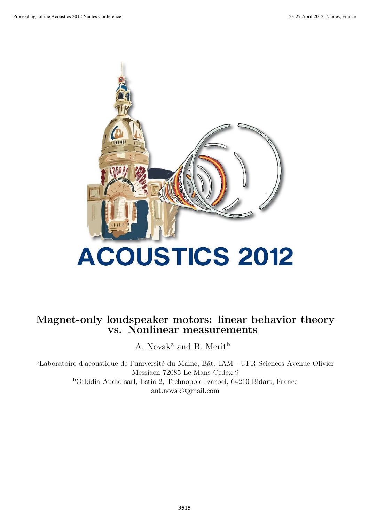

# Magnet-only loudspeaker motors: linear behavior theory vs. Nonlinear measurements

A. Novak<sup>a</sup> and B. Merit<sup>b</sup>

<sup>a</sup>Laboratoire d'acoustique de l'université du Maine, Bât. IAM - UFR Sciences Avenue Olivier Messiaen 72085 Le Mans Cedex 9 <sup>b</sup>Orkidia Audio sarl, Estia 2, Technopole Izarbel, 64210 Bidart, France ant.novak@gmail.com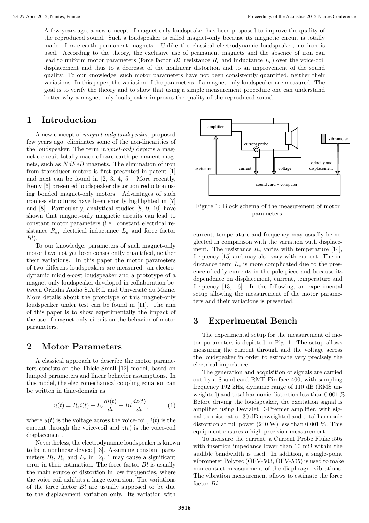A few years ago, a new concept of magnet-only loudspeaker has been proposed to improve the quality of the reproduced sound. Such a loudspeaker is called magnet-only because its magnetic circuit is totally made of rare-earth permanent magnets. Unlike the classical electrodynamic loudspeaker, no iron is used. According to the theory, the exclusive use of permanent magnets and the absence of iron can lead to uniform motor parameters (force factor  $Bl$ , resistance  $R_e$  and inductance  $L_e$ ) over the voice-coil displacement and thus to a decrease of the nonlinear distortion and to an improvement of the sound quality. To our knowledge, such motor parameters have not been consistently quantified, neither their variations. In this paper, the variation of the parameters of a magnet-only loudspeaker are measured. The goal is to verify the theory and to show that using a simple measurement procedure one can understand better why a magnet-only loudspeaker improves the quality of the reproduced sound.

# **1 Introduction**

A new concept of magnet-only loudspeaker, proposed few years ago, eliminates some of the non-linearities of the loudspeaker. The term magnet-only depicts a magnetic circuit totally made of rare-earth permanent magnets, such as  $NdFeB$  magnets. The elimination of iron from transducer motors is first presented in patent [1] and next can be found in [2, 3, 4, 5]. More recently, Remy [6] presented loudspeaker distortion reduction using bonded magnet-only motors. Advantages of such ironless structures have been shortly highlighted in [7] and [8]. Particularly, analytical studies [8, 9, 10] have shown that magnet-only magnetic circuits can lead to constant motor parameters (i.e. constant electrical resistance  $R_e$ , electrical inductance  $L_e$  and force factor  $Bl$ ).

To our knowledge, parameters of such magnet-only motor have not yet been consistently quantified, neither their variations. In this paper the motor parameters of two different loudspeakers are measured: an electrodynamic middle-cost loudspeaker and a prototype of a magnet-only loudspeaker developed in collaboration between Orkidia Audio S.A.R.L and Université du Maine. More details about the prototype of this magnet-only loudspeaker under test can be found in [11]. The aim of this paper is to show experimentally the impact of the use of magnet-only circuit on the behavior of motor parameters.

# **2 Motor Parameters**

A classical approach to describe the motor parameters consists on the Thiele-Small [12] model, based on lumped parameters and linear behavior assumptions. In this model, the electromechanical coupling equation can be written in time-domain as

$$
u(t) = R_e i(t) + L_e \frac{di(t)}{dt} + Bl \frac{dz(t)}{dt}, \qquad (1)
$$

where  $u(t)$  is the voltage across the voice-coil,  $i(t)$  is the current through the voice-coil and  $z(t)$  is the voice-coil displacement.

Nevertheless, the electrodynamic loudspeaker is known to be a nonlinear device [13]. Assuming constant parameters  $Bl, R_e$  and  $L_e$  in Eq. 1 may cause a significant error in their estimation. The force factor  $Bl$  is usually the main source of distortion in low frequencies, where the voice-coil exhibits a large excursion. The variations of the force factor Bl are usually supposed to be due to the displacement variation only. Its variation with



Figure 1: Block schema of the measurement of motor parameters.

current, temperature and frequency may usually be neglected in comparison with the variation with displacement. The resistance  $R_e$  varies with temperature [14], frequency [15] and may also vary with current. The inductance term  $L_e$  is more complicated due to the presence of eddy currents in the pole piece and because its dependence on displacement, current, temperature and frequency [13, 16]. In the following, an experimental setup allowing the measurement of the motor parameters and their variations is presented.

### **3 Experimental Bench**

The experimental setup for the measurement of motor parameters is depicted in Fig. 1. The setup allows measuring the current through and the voltage across the loudspeaker in order to estimate very precisely the electrical impedance.

The generation and acquisition of signals are carried out by a Sound card RME Fireface 400, with sampling frequency 192 kHz, dynamic range of 110 dB (RMS unweighted) and total harmonic distortion less than 0.001 %. Before driving the loudspeaker, the excitation signal is amplified using Devialet D-Premier amplifier, with signal to noise ratio 130 dB unweighted and total harmonic distortion at full power (240 W) less than 0.001 %. This equipment ensures a high precision measurement.

To measure the current, a Current Probe Fluke i50s with insertion impedance lower than 10 m $\Omega$  within the audible bandwidth is used. In addition, a single-point vibrometer Polytec (OFV-503, OFV-505) is used to make non contact measurement of the diaphragm vibrations. The vibration measurement allows to estimate the force factor Bl.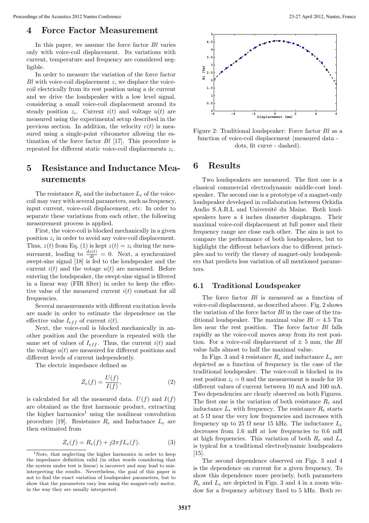#### **4 Force Factor Measurement**

In this paper, we assume the force factor Bl varies only with voice-coil displacement. Its variations with current, temperature and frequency are considered negligible.

In order to measure the variation of the force factor Bl with voice-coil displacement z, we displace the voicecoil electrically from its rest position using a dc current and we drive the loudspeaker with a low level signal, considering a small voice-coil displacement around its steady position  $z_i$ . Current  $i(t)$  and voltage  $u(t)$  are measured using the experimental setup described in the previous section. In addition, the velocity  $v(t)$  is measured using a single-point vibrometer allowing the estimation of the force factor  $Bl$  [17]. This procedure is repeated for different static voice-coil displacements  $z_i$ .

# **5 Resistance and Inductance Measurements**

The resistance  $R_e$  and the inductance  $L_e$  of the voicecoil may vary with several parameters, such as frequency, input current, voice-coil displacement, etc. In order to separate these variations from each other, the following measurement process is applied.

First, the voice-coil is blocked mechanically in a given position  $z_i$  in order to avoid any voice-coil displacement. Thus,  $z(t)$  from Eq. (1) is kept  $z(t) = z_i$  during the measurement, leading to  $\frac{dz(t)}{dt} = 0$ . Next, a synchronized swept-sine signal [18] is fed to the loudspeaker and the current  $i(t)$  and the votage  $u(t)$  are measured. Before entering the loudspeaker, the swept-sine signal is filtered in a linear way (FIR filter) in order to keep the effective value of the measured current  $i(t)$  constant for all frequencies.

Several measurements with different excitation levels are made in order to estimate the dependence on the effective value  $I_{eff}$  of current  $i(t)$ .

Next, the voice-coil is blocked mechanically in another position and the procedure is repeated with the same set of values of  $I_{eff}$ . Thus, the current  $i(t)$  and the voltage  $u(t)$  are measured for different positions and different levels of current independently.

The electric impedance defined as

$$
Z_e(f) = \frac{U(f)}{I(f)},\tag{2}
$$

is calculated for all the measured data.  $U(f)$  and  $I(f)$ are obtained as the first harmonic product, extracting the higher harmonics<sup>1</sup> using the nonlinear convolution procedure [19]. Resistance  $R_e$  and Inductance  $L_e$  are then estimated from

$$
Z_e(f) = R_e(f) + j2\pi f L_e(f).
$$
 (3)



Figure 2: Traditional loudspeaker: Force factor Bl as a function of voice-coil displacement (measured data dots, fit curve - dashed).

# **6 Results**

Two loudspeakers are measured. The first one is a classical commercial electrodynamic middle-cost loudspeaker. The second one is a prototype of a magnet-only loudspeaker developed in collaboration between Orkidia Audio S.A.R.L and Université du Maine. Both loudspeakers have a 4 inches diameter diaphragm. Their maximal voice-coil displacement at full power and their frequency range are close each other. The aim is not to compare the performance of both loudspeakers, but to highlight the different behaviors due to different principles and to verify the theory of magnet-only loudspeakers that predicts less variation of all mentioned parameters.

#### **6.1 Traditional Loudspeaker**

The force factor Bl is measured as a function of voice-coil displacement, as described above. Fig. 2 shows the variation of the force factor  $Bl$  in the case of the traditional loudspeaker. The maximal value  $Bl = 4.5$  Tm lies near the rest position. The force factor Bl falls rapidly as the voice-coil moves away from its rest position. For a voice-coil displacement of  $\pm$  5 mm, the Bl value falls almost to half the maximal value.

In Figs. 3 and 4 resistance  $R_e$  and inductance  $L_e$  are depicted as a function of frequency in the case of the traditional loudspeaker. The voice-coil is blocked in its rest position  $z_i = 0$  and the measurement is made for 10 different values of current between 10 mA and 100 mA. Two dependencies are clearly observed on both Figures. The first one is the variation of both resistance  $R_e$  and inductance  $L_e$  with frequency. The resistance  $R_e$  starts at 5  $\Omega$  near the very low frequencies and increases with frequency up to 25  $\Omega$  near 15 kHz. The inductance  $L_e$ decreases from 1.6 mH at low frequencies to 0.6 mH at high frequencies. This variation of both  $R_e$  and  $L_e$ is typical for a traditional electrodynamic loudspeakers [15].

The second dependence observed on Figs. 3 and 4 is the dependence on current for a given frequency. To show this dependence more precisely, both parameters  $R_e$  and  $L_e$  are depicted in Figs. 3 and 4 in a zoom window for a frequency arbitrary fixed to 5 kHz. Both re-

<sup>1</sup>Note, that neglecting the higher harmonics in order to keep the impedance definition valid (in other words considering that the system under test is linear) is incorrect and may lead to misinterpreting the results. Nevertheless, the goal of this paper is not to find the exact variation of loudspeaker parameters, but to show that the parameters vary less using the magnet-only motor, in the way they are usually interpreted.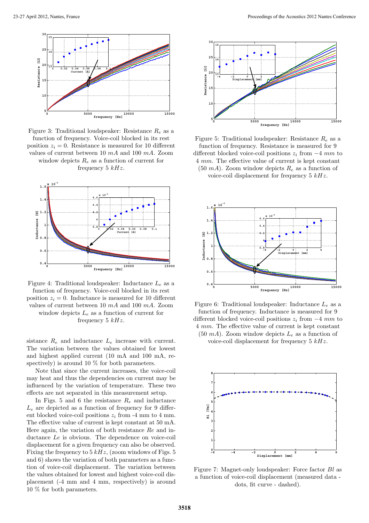

Figure 3: Traditional loudspeaker: Resistance  $R_e$  as a function of frequency. Voice-coil blocked in its rest position  $z_i = 0$ . Resistance is measured for 10 different values of current between 10 mA and 100 mA. Zoom window depicts  $R_e$  as a function of current for frequency 5  $kHz$ .



Figure 4: Traditional loudspeaker: Inductance  $L_e$  as a function of frequency. Voice-coil blocked in its rest position  $z_i = 0$ . Inductance is measured for 10 different values of current between 10 mA and 100 mA. Zoom window depicts  $L_e$  as a function of current for frequency  $5 kHz$ .

sistance  $R_e$  and inductance  $L_e$  increase with current. The variation between the values obtained for lowest and highest applied current (10 mA and 100 mA, respectively) is around 10 % for both parameters.

Note that since the current increases, the voice-coil may heat and thus the dependencies on current may be influenced by the variation of temperature. These two effects are not separated in this measurement setup.

In Figs. 5 and 6 the resistance  $R_e$  and inductance  $L_e$  are depicted as a function of frequency for 9 different blocked voice-coil positions  $z_i$  from -4 mm to 4 mm. The effective value of current is kept constant at 50 mA. Here again, the variation of both resistance Re and inductance Le is obvious. The dependence on voice-coil displacement for a given frequency can also be observed. Fixing the frequency to  $5 kHz$ , (zoom windows of Figs. 5) and 6) shows the variation of both parameters as a function of voice-coil displacement. The variation between the values obtained for lowest and highest voice-coil displacement (-4 mm and 4 mm, respectively) is around 10 % for both parameters.



Figure 5: Traditional loudspeaker: Resistance  $R_e$  as a function of frequency. Resistance is measured for 9 different blocked voice-coil positions  $z_i$  from  $-4$  mm to 4 mm. The effective value of current is kept constant  $(50 \text{ mA})$ . Zoom window depicts  $R_e$  as a function of voice-coil displacement for frequency  $5 kHz$ .



Figure 6: Traditional loudspeaker: Inductance  $L_e$  as a function of frequency. Inductance is measured for 9 different blocked voice-coil positions  $z_i$  from  $-4$  mm to 4 mm. The effective value of current is kept constant (50 mA). Zoom window depicts  $L_e$  as a function of voice-coil displacement for frequency  $5 kHz$ .



Figure 7: Magnet-only loudspeaker: Force factor Bl as a function of voice-coil displacement (measured data dots, fit curve - dashed).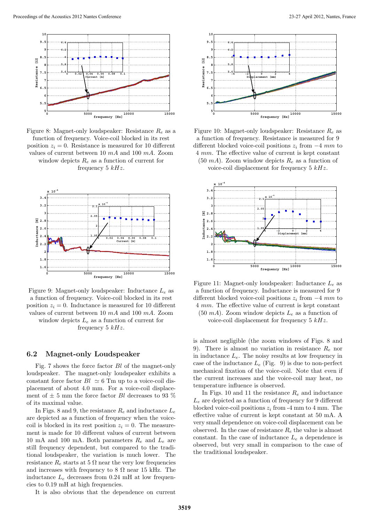

Figure 8: Magnet-only loudspeaker: Resistance  $R_e$  as a function of frequency. Voice-coil blocked in its rest position  $z_i = 0$ . Resistance is measured for 10 different values of current between 10 mA and 100 mA. Zoom window depicts  $R_e$  as a function of current for frequency 5  $kHz$ .



Figure 9: Magnet-only loudspeaker: Inductance  $L_e$  as a function of frequency. Voice-coil blocked in its rest position  $z_i = 0$ . Inductance is measured for 10 different values of current between 10 mA and 100 mA. Zoom window depicts  $L_e$  as a function of current for frequency  $5 kHz$ .

#### **6.2 Magnet-only Loudspeaker**

Fig. 7 shows the force factor Bl of the magnet-only loudspeaker. The magnet-only loudspeaker exhibits a constant force factor  $Bl \simeq 6$  Tm up to a voice-coil displacement of about 4.0 mm. For a voice-coil displacement of  $\pm$  5 mm the force factor *Bl* decreases to 93 % of its maximal value.

In Figs. 8 and 9, the resistance  $R_e$  and inductance  $L_e$ are depicted as a function of frequency when the voicecoil is blocked in its rest position  $z_i = 0$ . The measurement is made for 10 different values of current between 10 mA and 100 mA. Both parameters  $R_e$  and  $L_e$  are still frequency dependent, but compared to the traditional loudspeaker, the variation is much lower. The resistance  $R_e$  starts at 5  $\Omega$  near the very low frequencies and increases with frequency to 8  $\Omega$  near 15 kHz. The inductance  $L_e$  decreases from 0.24 mH at low frequencies to 0.19 mH at high frequencies.

It is also obvious that the dependence on current



Figure 10: Magnet-only loudspeaker: Resistance  $R_e$  as a function of frequency. Resistance is measured for 9 different blocked voice-coil positions  $z_i$  from  $-4$  mm to 4 mm. The effective value of current is kept constant (50 mA). Zoom window depicts  $R_e$  as a function of

voice-coil displacement for frequency  $5 kHz$ .



Figure 11: Magnet-only loudspeaker: Inductance  $L_e$  as a function of frequency. Inductance is measured for 9 different blocked voice-coil positions  $z_i$  from  $-4$  mm to 4 mm. The effective value of current is kept constant (50 mA). Zoom window depicts  $L_e$  as a function of voice-coil displacement for frequency  $5 kHz$ .

is almost negligible (the zoom windows of Figs. 8 and 9). There is almost no variation in resistance  $R_e$  nor in inductance  $L_e$ . The noisy results at low frequency in case of the inductance  $L_e$  (Fig. 9) is due to non-perfect mechanical fixation of the voice-coil. Note that even if the current increases and the voice-coil may heat, no temperature influence is observed.

In Figs. 10 and 11 the resistance  $R_e$  and inductance  $L_e$  are depicted as a function of frequency for 9 different blocked voice-coil positions  $z_i$  from -4 mm to 4 mm. The effective value of current is kept constant at 50 mA. A very small dependence on voice-coil displacement can be observed. In the case of resistance  $R_e$  the value is almost constant. In the case of inductance  $L_e$  a dependence is observed, but very small in comparison to the case of the traditional loudspeaker.